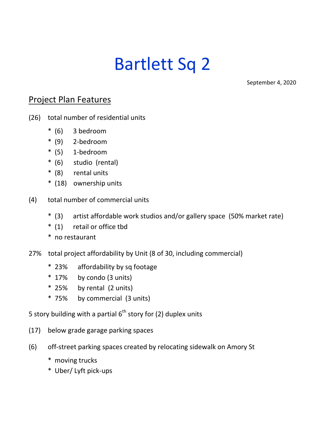## Bartlett Sq 2

September 4, 2020

## Project Plan Features

- (26) total number of residential units
	- \* (6) 3 bedroom
	- \* (9) 2-bedroom
	- \* (5) 1-bedroom
	- \* (6) studio (rental)
	- \* (8) rental units
	- \* (18) ownership units
- (4) total number of commercial units
	- \* (3) artist affordable work studios and/or gallery space (50% market rate)
	- \* (1) retail or office tbd
	- \* no restaurant
- 27% total project affordability by Unit (8 of 30, including commercial)
	- \* 23% affordability by sq footage
	- \* 17% by condo (3 units)
	- \* 25% by rental (2 units)
	- \* 75% by commercial (3 units)

5 story building with a partial  $6<sup>th</sup>$  story for (2) duplex units

- (17) below grade garage parking spaces
- (6) off-street parking spaces created by relocating sidewalk on Amory St
	- \* moving trucks
	- \* Uber/ Lyft pick-ups